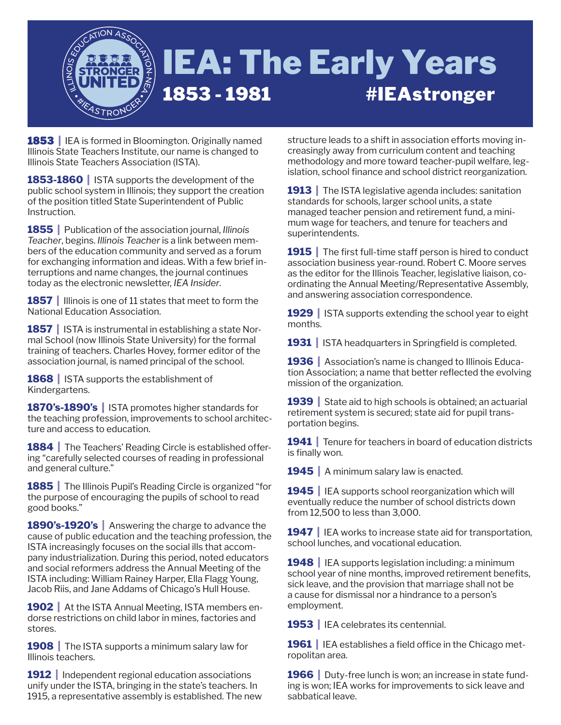

**1853 |** IEA is formed in Bloomington. Originally named Illinois State Teachers Institute, our name is changed to Illinois State Teachers Association (ISTA).

**1853-1860 |** ISTA supports the development of the public school system in Illinois; they support the creation of the position titled State Superintendent of Public Instruction.

**1855 |** Publication of the association journal, *Illinois Teacher*, begins. *Illinois Teacher* is a link between members of the education community and served as a forum for exchanging information and ideas. With a few brief interruptions and name changes, the journal continues today as the electronic newsletter, *IEA Insider*.

**1857 |** Illinois is one of 11 states that meet to form the National Education Association.

**1857** | ISTA is instrumental in establishing a state Normal School (now Illinois State University) for the formal training of teachers. Charles Hovey, former editor of the association journal, is named principal of the school.

**1868** | ISTA supports the establishment of Kindergartens.

**1870's-1890's |** ISTA promotes higher standards for the teaching profession, improvements to school architecture and access to education.

**1884** The Teachers' Reading Circle is established offering "carefully selected courses of reading in professional and general culture."

**1885** The Illinois Pupil's Reading Circle is organized "for the purpose of encouraging the pupils of school to read good books."

**1890's-1920's |** Answering the charge to advance the cause of public education and the teaching profession, the ISTA increasingly focuses on the social ills that accompany industrialization. During this period, noted educators and social reformers address the Annual Meeting of the ISTA including: William Rainey Harper, Ella Flagg Young, Jacob Riis, and Jane Addams of Chicago's Hull House.

**1902** At the ISTA Annual Meeting, ISTA members endorse restrictions on child labor in mines, factories and stores.

**1908** The ISTA supports a minimum salary law for Illinois teachers.

**1912** | Independent regional education associations unify under the ISTA, bringing in the state's teachers. In 1915, a representative assembly is established. The new

structure leads to a shift in association efforts moving increasingly away from curriculum content and teaching methodology and more toward teacher-pupil welfare, legislation, school finance and school district reorganization.

**1913** The ISTA legislative agenda includes: sanitation standards for schools, larger school units, a state managed teacher pension and retirement fund, a minimum wage for teachers, and tenure for teachers and superintendents.

**1915** The first full-time staff person is hired to conduct association business year-round. Robert C. Moore serves as the editor for the Illinois Teacher, legislative liaison, coordinating the Annual Meeting/Representative Assembly, and answering association correspondence.

**1929** | ISTA supports extending the school year to eight months.

**1931** | ISTA headquarters in Springfield is completed.

**1936** Association's name is changed to Illinois Education Association; a name that better reflected the evolving mission of the organization.

**1939 |** State aid to high schools is obtained; an actuarial retirement system is secured; state aid for pupil transportation begins.

**1941 |** Tenure for teachers in board of education districts is finally won.

1945 | A minimum salary law is enacted.

**1945 |** IEA supports school reorganization which will eventually reduce the number of school districts down from 12,500 to less than 3,000.

**1947** | IEA works to increase state aid for transportation, school lunches, and vocational education.

**1948 |** IEA supports legislation including: a minimum school year of nine months, improved retirement benefits, sick leave, and the provision that marriage shall not be a cause for dismissal nor a hindrance to a person's employment.

**1953 |** IEA celebrates its centennial.

**1961** | IEA establishes a field office in the Chicago metropolitan area.

**1966** Duty-free lunch is won; an increase in state funding is won; IEA works for improvements to sick leave and sabbatical leave.